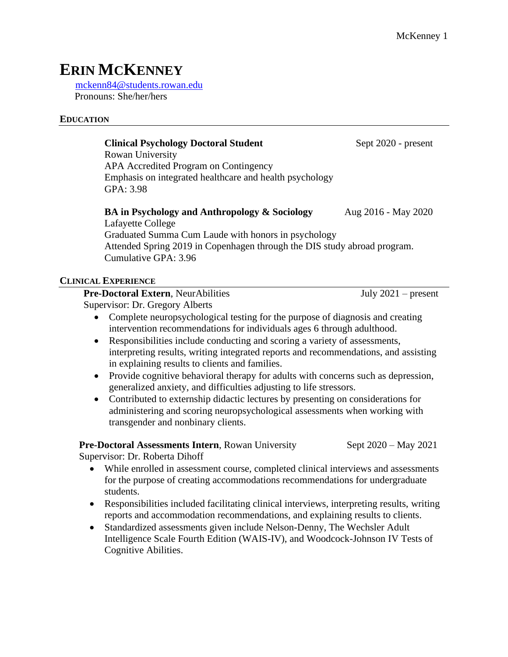# **ERIN MCKENNEY**

[mckenn84@students.rowan.edu](mailto:mckenn84@students.rowan.edu) Pronouns: She/her/hers

#### **EDUCATION**

#### **Clinical Psychology Doctoral Student** Sept 2020 - present

Rowan University APA Accredited Program on Contingency Emphasis on integrated healthcare and health psychology GPA: 3.98

#### **BA in Psychology and Anthropology & Sociology** Aug 2016 - May 2020 Lafayette College Graduated Summa Cum Laude with honors in psychology Attended Spring 2019 in Copenhagen through the DIS study abroad program. Cumulative GPA: 3.96

# **CLINICAL EXPERIENCE**

#### **Pre-Doctoral Extern**, NeurAbilities July 2021 – present

Supervisor: Dr. Gregory Alberts

- Complete neuropsychological testing for the purpose of diagnosis and creating intervention recommendations for individuals ages 6 through adulthood.
- Responsibilities include conducting and scoring a variety of assessments, interpreting results, writing integrated reports and recommendations, and assisting in explaining results to clients and families.
- Provide cognitive behavioral therapy for adults with concerns such as depression, generalized anxiety, and difficulties adjusting to life stressors.
- Contributed to externship didactic lectures by presenting on considerations for administering and scoring neuropsychological assessments when working with transgender and nonbinary clients.

# **Pre-Doctoral Assessments Intern**, Rowan University Sept 2020 – May 2021

Supervisor: Dr. Roberta Dihoff

- While enrolled in assessment course, completed clinical interviews and assessments for the purpose of creating accommodations recommendations for undergraduate students.
- Responsibilities included facilitating clinical interviews, interpreting results, writing reports and accommodation recommendations, and explaining results to clients.
- Standardized assessments given include Nelson-Denny, The Wechsler Adult Intelligence Scale Fourth Edition (WAIS-IV), and Woodcock-Johnson IV Tests of Cognitive Abilities.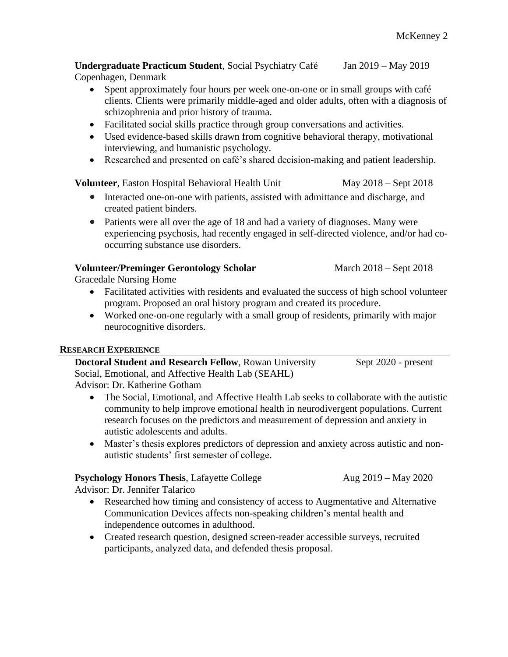**Undergraduate Practicum Student**, Social Psychiatry Café Jan 2019 – May 2019 Copenhagen, Denmark

- Spent approximately four hours per week one-on-one or in small groups with café clients. Clients were primarily middle-aged and older adults, often with a diagnosis of schizophrenia and prior history of trauma.
- Facilitated social skills practice through group conversations and activities.
- Used evidence-based skills drawn from cognitive behavioral therapy, motivational interviewing, and humanistic psychology.
- Researched and presented on café's shared decision-making and patient leadership.

**Volunteer**, Easton Hospital Behavioral Health Unit May 2018 – Sept 2018

- Interacted one-on-one with patients, assisted with admittance and discharge, and created patient binders.
- Patients were all over the age of 18 and had a variety of diagnoses. Many were experiencing psychosis, had recently engaged in self-directed violence, and/or had cooccurring substance use disorders.

#### **Volunteer/Preminger Gerontology Scholar** March 2018 – Sept 2018

Gracedale Nursing Home

- Facilitated activities with residents and evaluated the success of high school volunteer program. Proposed an oral history program and created its procedure.
- Worked one-on-one regularly with a small group of residents, primarily with major neurocognitive disorders.

#### **RESEARCH EXPERIENCE**

| <b>Doctoral Student and Research Fellow, Rowan University</b> | Sept 2020 - present |
|---------------------------------------------------------------|---------------------|
| Social, Emotional, and Affective Health Lab (SEAHL)           |                     |
| Advisor: Dr. Katherine Gotham                                 |                     |

- The Social, Emotional, and Affective Health Lab seeks to collaborate with the autistic community to help improve emotional health in neurodivergent populations. Current research focuses on the predictors and measurement of depression and anxiety in autistic adolescents and adults.
- Master's thesis explores predictors of depression and anxiety across autistic and nonautistic students' first semester of college.

# **Psychology Honors Thesis**, Lafayette College Aug 2019 – May 2020

Advisor: Dr. Jennifer Talarico

- Researched how timing and consistency of access to Augmentative and Alternative Communication Devices affects non-speaking children's mental health and independence outcomes in adulthood.
- Created research question, designed screen-reader accessible surveys, recruited participants, analyzed data, and defended thesis proposal.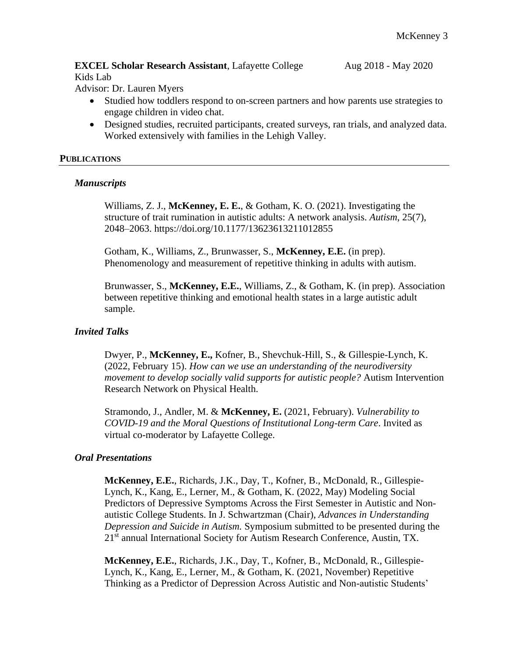#### **EXCEL Scholar Research Assistant**, Lafayette College Aug 2018 - May 2020 Kids Lab

Advisor: Dr. Lauren Myers

- Studied how toddlers respond to on-screen partners and how parents use strategies to engage children in video chat.
- Designed studies, recruited participants, created surveys, ran trials, and analyzed data. Worked extensively with families in the Lehigh Valley.

#### **PUBLICATIONS**

#### *Manuscripts*

Williams, Z. J., **McKenney, E. E.**, & Gotham, K. O. (2021). Investigating the structure of trait rumination in autistic adults: A network analysis. *Autism*, 25(7), 2048–2063. https://doi.org/10.1177/13623613211012855

Gotham, K., Williams, Z., Brunwasser, S., **McKenney, E.E.** (in prep). Phenomenology and measurement of repetitive thinking in adults with autism.

Brunwasser, S., **McKenney, E.E.**, Williams, Z., & Gotham, K. (in prep). Association between repetitive thinking and emotional health states in a large autistic adult sample.

#### *Invited Talks*

Dwyer, P., **McKenney, E.,** Kofner, B., Shevchuk-Hill, S., & Gillespie-Lynch, K. (2022, February 15). *How can we use an understanding of the neurodiversity movement to develop socially valid supports for autistic people?* Autism Intervention Research Network on Physical Health.

Stramondo, J., Andler, M. & **McKenney, E.** (2021, February). *Vulnerability to COVID-19 and the Moral Questions of Institutional Long-term Care*. Invited as virtual co-moderator by Lafayette College.

#### *Oral Presentations*

**McKenney, E.E.**, Richards, J.K., Day, T., Kofner, B., McDonald, R., Gillespie-Lynch, K., Kang, E., Lerner, M., & Gotham, K. (2022, May) Modeling Social Predictors of Depressive Symptoms Across the First Semester in Autistic and Nonautistic College Students. In J. Schwartzman (Chair), *Advances in Understanding Depression and Suicide in Autism.* Symposium submitted to be presented during the 21<sup>st</sup> annual International Society for Autism Research Conference, Austin, TX.

**McKenney, E.E.**, Richards, J.K., Day, T., Kofner, B., McDonald, R., Gillespie-Lynch, K., Kang, E., Lerner, M., & Gotham, K. (2021, November) Repetitive Thinking as a Predictor of Depression Across Autistic and Non-autistic Students'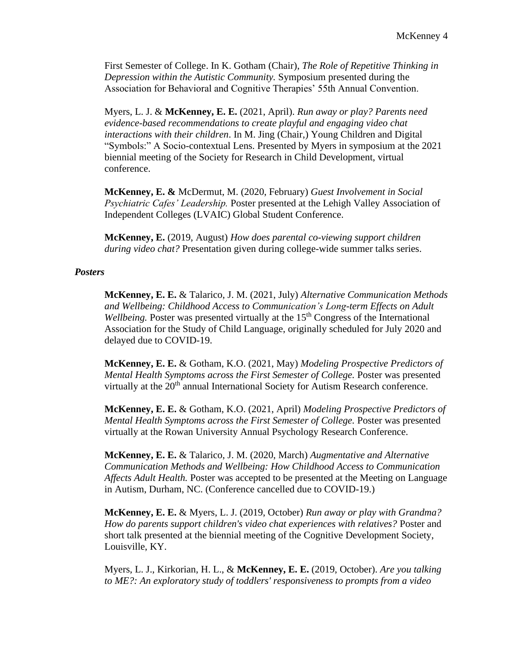First Semester of College. In K. Gotham (Chair), *The Role of Repetitive Thinking in Depression within the Autistic Community.* Symposium presented during the Association for Behavioral and Cognitive Therapies' 55th Annual Convention.

Myers, L. J. & **McKenney, E. E.** (2021, April). *Run away or play? Parents need evidence-based recommendations to create playful and engaging video chat interactions with their children*. In M. Jing (Chair,) Young Children and Digital "Symbols:" A Socio-contextual Lens. Presented by Myers in symposium at the 2021 biennial meeting of the Society for Research in Child Development, virtual conference.

**McKenney, E. &** McDermut, M. (2020, February) *Guest Involvement in Social Psychiatric Cafes' Leadership.* Poster presented at the Lehigh Valley Association of Independent Colleges (LVAIC) Global Student Conference.

**McKenney, E.** (2019, August) *How does parental co-viewing support children during video chat?* Presentation given during college-wide summer talks series.

#### *Posters*

**McKenney, E. E.** & Talarico, J. M. (2021, July) *Alternative Communication Methods and Wellbeing: Childhood Access to Communication's Long-term Effects on Adult Wellbeing.* Poster was presented virtually at the 15<sup>th</sup> Congress of the International Association for the Study of Child Language, originally scheduled for July 2020 and delayed due to COVID-19.

**McKenney, E. E.** & Gotham, K.O. (2021, May) *Modeling Prospective Predictors of Mental Health Symptoms across the First Semester of College.* Poster was presented virtually at the 20<sup>th</sup> annual International Society for Autism Research conference.

**McKenney, E. E.** & Gotham, K.O. (2021, April) *Modeling Prospective Predictors of Mental Health Symptoms across the First Semester of College.* Poster was presented virtually at the Rowan University Annual Psychology Research Conference.

**McKenney, E. E.** & Talarico, J. M. (2020, March) *Augmentative and Alternative Communication Methods and Wellbeing: How Childhood Access to Communication Affects Adult Health.* Poster was accepted to be presented at the Meeting on Language in Autism, Durham, NC. (Conference cancelled due to COVID-19.)

**McKenney, E. E.** & Myers, L. J. (2019, October) *Run away or play with Grandma? How do parents support children's video chat experiences with relatives?* Poster and short talk presented at the biennial meeting of the Cognitive Development Society, Louisville, KY.

Myers, L. J., Kirkorian, H. L., & **McKenney, E. E.** (2019, October). *Are you talking to ME?: An exploratory study of toddlers' responsiveness to prompts from a video*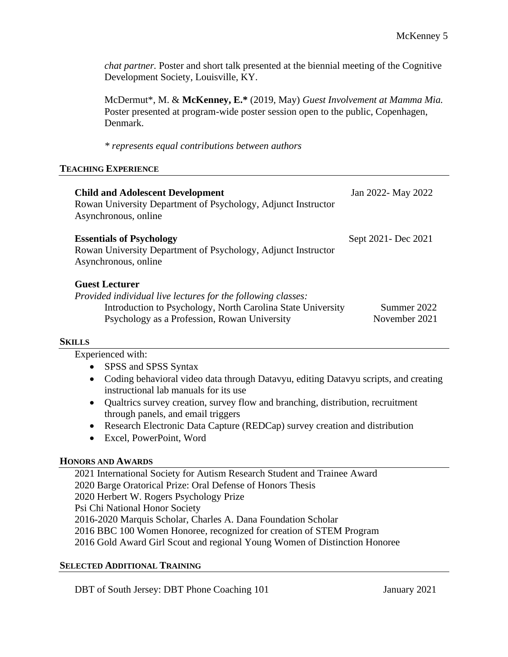*chat partner.* Poster and short talk presented at the biennial meeting of the Cognitive Development Society, Louisville, KY.

McDermut\*, M. & **McKenney, E.\*** (2019, May) *Guest Involvement at Mamma Mia.* Poster presented at program-wide poster session open to the public, Copenhagen, Denmark.

*\* represents equal contributions between authors*

#### **TEACHING EXPERIENCE**

| <b>Child and Adolescent Development</b><br>Rowan University Department of Psychology, Adjunct Instructor<br>Asynchronous, online                                                                     | Jan 2022- May 2022           |
|------------------------------------------------------------------------------------------------------------------------------------------------------------------------------------------------------|------------------------------|
| <b>Essentials of Psychology</b><br>Rowan University Department of Psychology, Adjunct Instructor<br>Asynchronous, online                                                                             | Sept 2021 - Dec 2021         |
| <b>Guest Lecturer</b><br>Provided individual live lectures for the following classes:<br>Introduction to Psychology, North Carolina State University<br>Psychology as a Profession, Rowan University | Summer 2022<br>November 2021 |

#### **SKILLS**

Experienced with:

- SPSS and SPSS Syntax
- Coding behavioral video data through Datavyu, editing Datavyu scripts, and creating instructional lab manuals for its use
- Qualtrics survey creation, survey flow and branching, distribution, recruitment through panels, and email triggers
- Research Electronic Data Capture (REDCap) survey creation and distribution
- Excel, PowerPoint, Word

# **HONORS AND AWARDS**

2021 International Society for Autism Research Student and Trainee Award 2020 Barge Oratorical Prize: Oral Defense of Honors Thesis 2020 Herbert W. Rogers Psychology Prize Psi Chi National Honor Society 2016-2020 Marquis Scholar, Charles A. Dana Foundation Scholar 2016 BBC 100 Women Honoree, recognized for creation of STEM Program 2016 Gold Award Girl Scout and regional Young Women of Distinction Honoree

#### **SELECTED ADDITIONAL TRAINING**

DBT of South Jersey: DBT Phone Coaching 101 January 2021